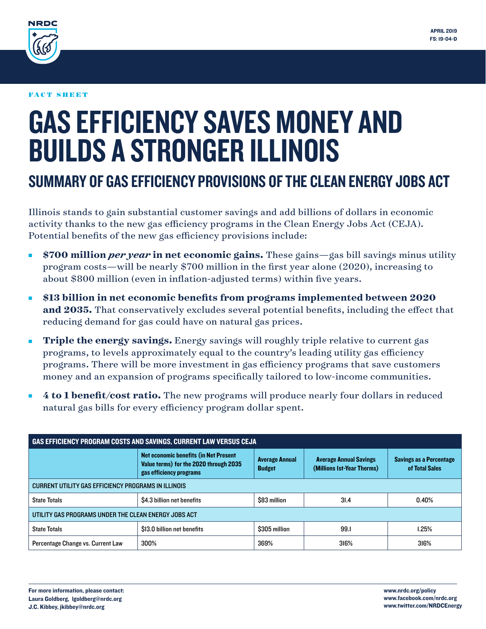

#### FACT SHEET

# GAS EFFICIENCY SAVES MONEY AND BUILDS A STRONGER ILLINOIS

## SUMMARY OF GAS EFFICIENCY PROVISIONS OF THE CLEAN ENERGY JOBS ACT

Illinois stands to gain substantial customer savings and add billions of dollars in economic activity thanks to the new gas efficiency programs in the Clean Energy Jobs Act (CEJA). Potential benefits of the new gas efficiency provisions include:

- **\$700 million** *per year* **in net economic gains.** These gains—gas bill savings minus utility program costs—will be nearly \$700 million in the first year alone (2020), increasing to about \$800 million (even in inflation-adjusted terms) within five years.
- <sup>n</sup> **\$13 billion in net economic benefits from programs implemented between 2020 and 2035.** That conservatively excludes several potential benefits, including the effect that reducing demand for gas could have on natural gas prices.
- **Triple the energy savings.** Energy savings will roughly triple relative to current gas programs, to levels approximately equal to the country's leading utility gas efficiency programs. There will be more investment in gas efficiency programs that save customers money and an expansion of programs specifically tailored to low-income communities.
- **4 to 1 benefit/cost ratio.** The new programs will produce nearly four dollars in reduced natural gas bills for every efficiency program dollar spent.

| <b>GAS EFFICIENCY PROGRAM COSTS AND SAVINGS, CURRENT LAW VERSUS CEJA</b> |                                                                                                            |                                        |                                                             |                                                  |
|--------------------------------------------------------------------------|------------------------------------------------------------------------------------------------------------|----------------------------------------|-------------------------------------------------------------|--------------------------------------------------|
|                                                                          | Net economic benefits (in Net Present<br>Value terms) for the 2020 through 2035<br>gas efficiency programs | <b>Average Annual</b><br><b>Budget</b> | <b>Average Annual Savings</b><br>(Millions Ist-Year Therms) | <b>Savings as a Percentage</b><br>of Total Sales |
| CURRENT UTILITY GAS EFFICIENCY PROGRAMS IN ILLINOIS                      |                                                                                                            |                                        |                                                             |                                                  |
| <b>State Totals</b>                                                      | \$4.3 billion net benefits                                                                                 | \$83 million                           | 31.4                                                        | 0.40%                                            |
| UTILITY GAS PROGRAMS UNDER THE CLEAN ENERGY JOBS ACT                     |                                                                                                            |                                        |                                                             |                                                  |
| <b>State Totals</b>                                                      | \$13.0 billion net benefits                                                                                | \$305 million                          | 99.1                                                        | 1.25%                                            |
| Percentage Change vs. Current Law                                        | 300%                                                                                                       | 369%                                   | 316%                                                        | 316%                                             |